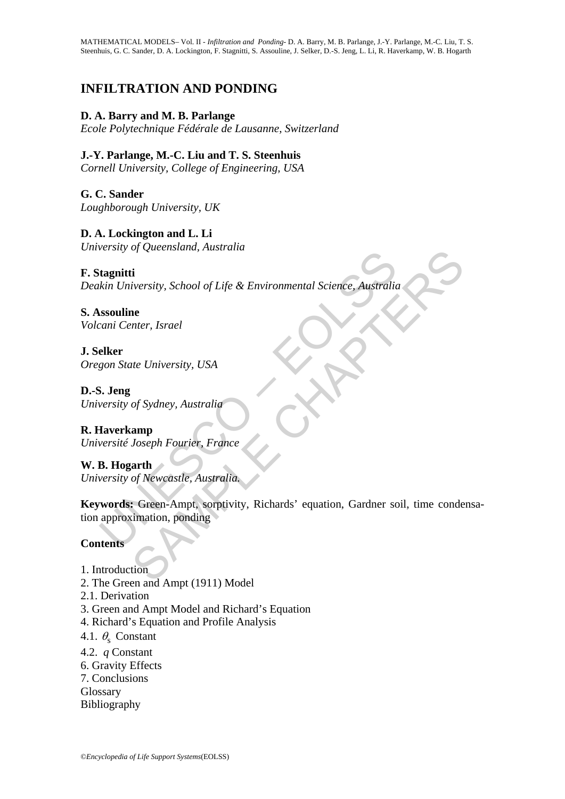# 0B**INFILTRATION AND PONDING**

# **D. A. Barry and M. B. Parlange**

*Ecole Polytechnique Fédérale de Lausanne, Switzerland*

## **J.-Y. Parlange, M.-C. Liu and T. S. Steenhuis**

*Cornell University, College of Engineering, USA* 

**G. C. Sander**  *Loughborough University, UK*

**D. A. Lockington and L. Li**  *University of Queensland, Australia* 

## **F. Stagnitti**

*Deakin University, School of Life & Environmental Science, Australia* 

**S. Assouline**  *Volcani Center, Israel*

**J. Selker**  *Oregon State University, USA* 

**D.-S. Jeng**  *University of Sydney, Australia*

**R. Haverkamp**  *Université Joseph Fourier, France*

**W. B. Hogarth**  *University of Newcastle, Australia.* 

Examples and University, School of Life & Environmental Science, Australia<br>
sesonline<br>
sesonline<br>
elker<br>
gon State University, USA<br>
S. Jeng<br>
versity of Sydney, Australia<br>
Haverkamp<br>
versity of Sydney, Australia<br>
B. Hogarth riversity, School of Life & Environmental Science, Australia<br>
and<br>
the University, USA<br>
of Sydney, Australia<br>
amp<br>
Joseph Fourier, France<br>
arth<br>
of Newcastle, Australia.<br>
G Newcastle, Australia.<br>
G Newcastle, Australia.<br>
G **Keywords:** Green-Ampt, sorptivity, Richards' equation, Gardner soil, time condensation approximation, ponding

# **Contents**

- 1. Introduction
- 2. The Green and Ampt (1911) Model
- 2.1. Derivation
- 3. Green and Ampt Model and Richard's Equation
- 4. Richard's Equation and Profile Analysis
- 4.1.  $\theta_{\rm s}$  Constant
- 4.2. *q* Constant
- 6. Gravity Effects
- 7. Conclusions
- Glossary
- Bibliography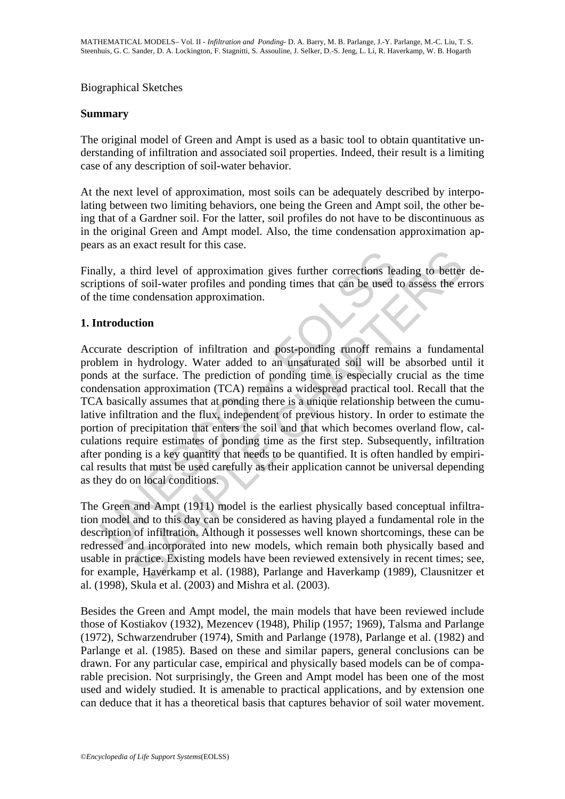## Biographical Sketches

#### **Summary**

The original model of Green and Ampt is used as a basic tool to obtain quantitative understanding of infiltration and associated soil properties. Indeed, their result is a limiting case of any description of soil-water behavior.

At the next level of approximation, most soils can be adequately described by interpolating between two limiting behaviors, one being the Green and Ampt soil, the other being that of a Gardner soil. For the latter, soil profiles do not have to be discontinuous as in the original Green and Ampt model. Also, the time condensation approximation appears as an exact result for this case.

Finally, a third level of approximation gives further corrections leading to better descriptions of soil-water profiles and ponding times that can be used to assess the errors of the time condensation approximation.

## 1. Introduction

ally, a third level of approximation gives further corrections lead<br>ptions of soil-water profiles and ponding times that can be used to<br>the time condensation approximation.<br>**Arroduction**<br>and the stree condensation approxim third level of approximation gives further corrections leading to better<br>of soil-water profiles and ponding times that can be used to assess the er<br>condensation approximation.<br>tion<br>the condensation approximation.<br>the conde Accurate description of infiltration and post-ponding runoff remains a fundamental problem in hydrology. Water added to an unsaturated soil will be absorbed until it ponds at the surface. The prediction of ponding time is especially crucial as the time condensation approximation (TCA) remains a widespread practical tool. Recall that the TCA basically assumes that at ponding there is a unique relationship between the cumulative infiltration and the flux, independent of previous history. In order to estimate the portion of precipitation that enters the soil and that which becomes overland flow, calculations require estimates of ponding time as the first step. Subsequently, infiltration after ponding is a key quantity that needs to be quantified. It is often handled by empirical results that must be used carefully as their application cannot be universal depending as they do on local conditions.

The Green and Ampt (1911) model is the earliest physically based conceptual infiltration model and to this day can be considered as having played a fundamental role in the description of infiltration. Although it possesses well known shortcomings, these can be redressed and incorporated into new models, which remain both physically based and usable in practice. Existing models have been reviewed extensively in recent times; see, for example, Haverkamp et al. (1988), Parlange and Haverkamp (1989), Clausnitzer et al. (1998), Skula et al. (2003) and Mishra et al. (2003).

Besides the Green and Ampt model, the main models that have been reviewed include those of Kostiakov (1932), Mezencev (1948), Philip (1957; 1969), Talsma and Parlange (1972), Schwarzendruber (1974), Smith and Parlange (1978), Parlange et al. (1982) and Parlange et al. (1985). Based on these and similar papers, general conclusions can be drawn. For any particular case, empirical and physically based models can be of comparable precision. Not surprisingly, the Green and Ampt model has been one of the most used and widely studied. It is amenable to practical applications, and by extension one can deduce that it has a theoretical basis that captures behavior of soil water movement.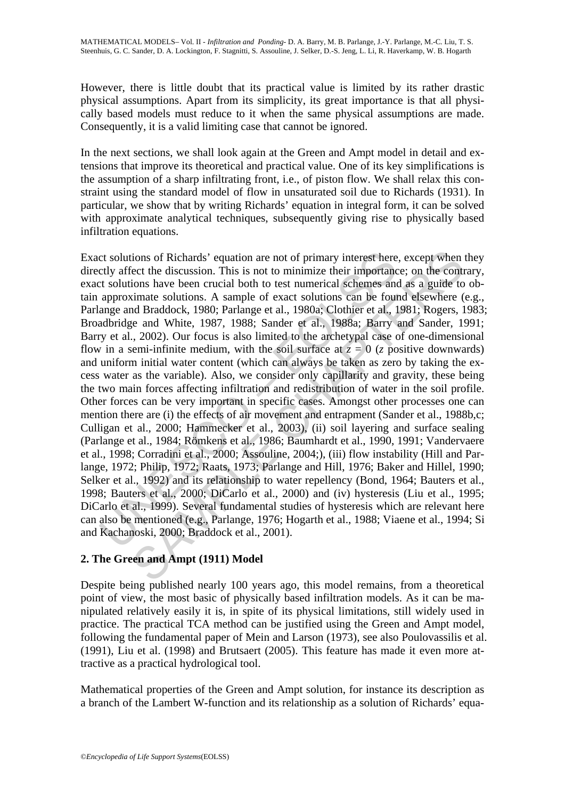However, there is little doubt that its practical value is limited by its rather drastic physical assumptions. Apart from its simplicity, its great importance is that all physically based models must reduce to it when the same physical assumptions are made. Consequently, it is a valid limiting case that cannot be ignored.

In the next sections, we shall look again at the Green and Ampt model in detail and extensions that improve its theoretical and practical value. One of its key simplifications is the assumption of a sharp infiltrating front, i.e., of piston flow. We shall relax this constraint using the standard model of flow in unsaturated soil due to Richards (1931). In particular, we show that by writing Richards' equation in integral form, it can be solved with approximate analytical techniques, subsequently giving rise to physically based infiltration equations.

ct solutions of Richards' equation are not of primary interest here thy affect the discussion. This is not to minimize their importanct solutions have been crucial both to test numerical schemes an approximate solutions. ions of Richards' equation are not of primary interest here, except when<br>
eet the discussion. This is not to minimize their importance; on the contron<br>
ions have been crucial both to test unrerical schemes and as a guide t Exact solutions of Richards' equation are not of primary interest here, except when they directly affect the discussion. This is not to minimize their importance; on the contrary, exact solutions have been crucial both to test numerical schemes and as a guide to obtain approximate solutions. A sample of exact solutions can be found elsewhere (e.g., Parlange and Braddock, 1980; Parlange et al., 1980a; Clothier et al., 1981; Rogers, 1983; Broadbridge and White, 1987, 1988; Sander et al., 1988a; Barry and Sander, 1991; Barry et al., 2002). Our focus is also limited to the archetypal case of one-dimensional flow in a semi-infinite medium, with the soil surface at  $z = 0$  (*z* positive downwards) and uniform initial water content (which can always be taken as zero by taking the excess water as the variable). Also, we consider only capillarity and gravity, these being the two main forces affecting infiltration and redistribution of water in the soil profile. Other forces can be very important in specific cases. Amongst other processes one can mention there are (i) the effects of air movement and entrapment (Sander et al., 1988b,c; Culligan et al., 2000; Hammecker et al., 2003), (ii) soil layering and surface sealing (Parlange et al., 1984; Römkens et al., 1986; Baumhardt et al., 1990, 1991; Vandervaere et al., 1998; Corradini et al., 2000; Assouline, 2004;), (iii) flow instability (Hill and Parlange, 1972; Philip, 1972; Raats, 1973; Parlange and Hill, 1976; Baker and Hillel, 1990; Selker et al., 1992) and its relationship to water repellency (Bond, 1964; Bauters et al., 1998; Bauters et al., 2000; DiCarlo et al., 2000) and (iv) hysteresis (Liu et al., 1995; DiCarlo et al., 1999). Several fundamental studies of hysteresis which are relevant here can also be mentioned (e.g., Parlange, 1976; Hogarth et al., 1988; Viaene et al., 1994; Si and Kachanoski, 2000; Braddock et al., 2001).

# 2. The Green and Ampt (1911) Model

Despite being published nearly 100 years ago, this model remains, from a theoretical point of view, the most basic of physically based infiltration models. As it can be manipulated relatively easily it is, in spite of its physical limitations, still widely used in practice. The practical TCA method can be justified using the Green and Ampt model, following the fundamental paper of Mein and Larson (1973), see also Poulovassilis et al. (1991), Liu et al. (1998) and Brutsaert (2005). This feature has made it even more attractive as a practical hydrological tool.

Mathematical properties of the Green and Ampt solution, for instance its description as a branch of the Lambert W-function and its relationship as a solution of Richards' equa-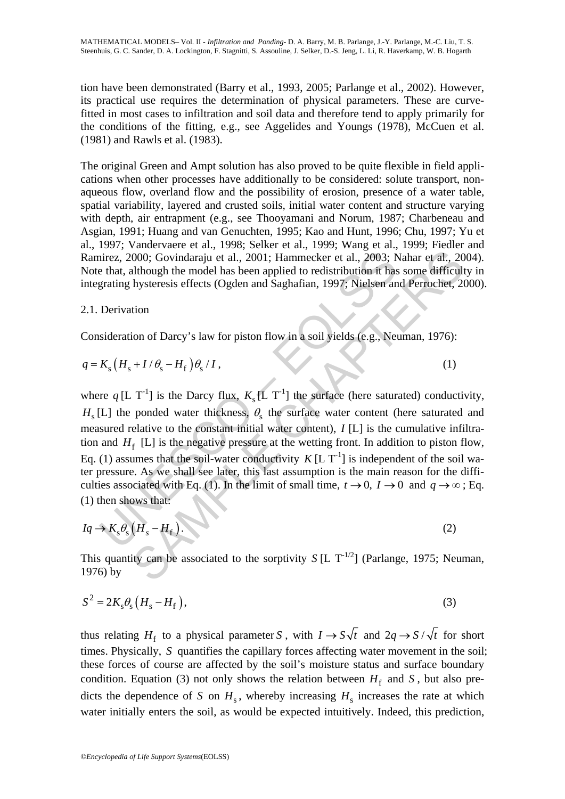tion have been demonstrated (Barry et al., 1993, 2005; Parlange et al., 2002). However, its practical use requires the determination of physical parameters. These are curvefitted in most cases to infiltration and soil data and therefore tend to apply primarily for the conditions of the fitting, e.g., see Aggelides and Youngs (1978), McCuen et al. (1981) and Rawls et al. (1983).

The original Green and Ampt solution has also proved to be quite flexible in field applications when other processes have additionally to be considered: solute transport, nonaqueous flow, overland flow and the possibility of erosion, presence of a water table, spatial variability, layered and crusted soils, initial water content and structure varying with depth, air entrapment (e.g., see Thooyamani and Norum, 1987; Charbeneau and Asgian, 1991; Huang and van Genuchten, 1995; Kao and Hunt, 1996; Chu, 1997; Yu et al., 1997; Vandervaere et al., 1998; Selker et al., 1999; Wang et al., 1999; Fiedler and Ramirez, 2000; Govindaraju et al., 2001; Hammecker et al., 2003; Nahar et al., 2004). Note that, although the model has been applied to redistribution it has some difficulty in integrating hysteresis effects (Ogden and Saghafian, 1997; Nielsen and Perrochet, 2000).

## 2.1. Derivation

Consideration of Darcy's law for piston flow in a soil yields (e.g., Neuman, 1976):

$$
q = K_{\rm s} \left( H_{\rm s} + I / \theta_{\rm s} - H_{\rm f} \right) \theta_{\rm s} / I \,, \tag{1}
$$

nirez, 2000; Govindaraju et al., 2001; Hammecker et al., 2003; be that, although the model has been applied to redistribution it has<br>grating hysteresis effects (Ogden and Saghafian, 1997; Nielsen an<br>Derivation<br>Derivation<br> 1000; Govindaraju et al., 2001; Hammecker et al., 2003; Nahar et al., 2003; Nahar et al., 2001; Hammecker et al., 2003; Nahar et al., 2001; Hammecker et al., 2003; Nahar et al., 2001; Hammecker et al., 2003; Nahar et al., where  $q$  [L T<sup>-1</sup>] is the Darcy flux,  $K_s$  [L T<sup>-1</sup>] the surface (here saturated) conductivity,  $H<sub>s</sub>$ [L] the ponded water thickness,  $\theta<sub>s</sub>$  the surface water content (here saturated and measured relative to the constant initial water content), *I* [L] is the cumulative infiltration and  $H_f$  [L] is the negative pressure at the wetting front. In addition to piston flow, Eq. (1) assumes that the soil-water conductivity  $K [L T<sup>-1</sup>]$  is independent of the soil water pressure. As we shall see later, this last assumption is the main reason for the difficulties associated with Eq. (1). In the limit of small time,  $t \to 0$ ,  $I \to 0$  and  $q \to \infty$ ; Eq. (1) then shows that:

$$
Iq \to K_s \theta_s (H_s - H_f). \tag{2}
$$

This quantity can be associated to the sorptivity *S* [L  $T^{-1/2}$ ] (Parlange, 1975; Neuman, 1976) by

$$
S^2 = 2K_s \theta_s \left( H_s - H_f \right),\tag{3}
$$

thus relating  $H_f$  to a physical parameter *S*, with  $I \rightarrow S \sqrt{t}$  and  $2q \rightarrow S / \sqrt{t}$  for short times. Physically, *S* quantifies the capillary forces affecting water movement in the soil; these forces of course are affected by the soil's moisture status and surface boundary condition. Equation (3) not only shows the relation between  $H_f$  and *S*, but also predicts the dependence of *S* on  $H_s$ , whereby increasing  $H_s$  increases the rate at which water initially enters the soil, as would be expected intuitively. Indeed, this prediction,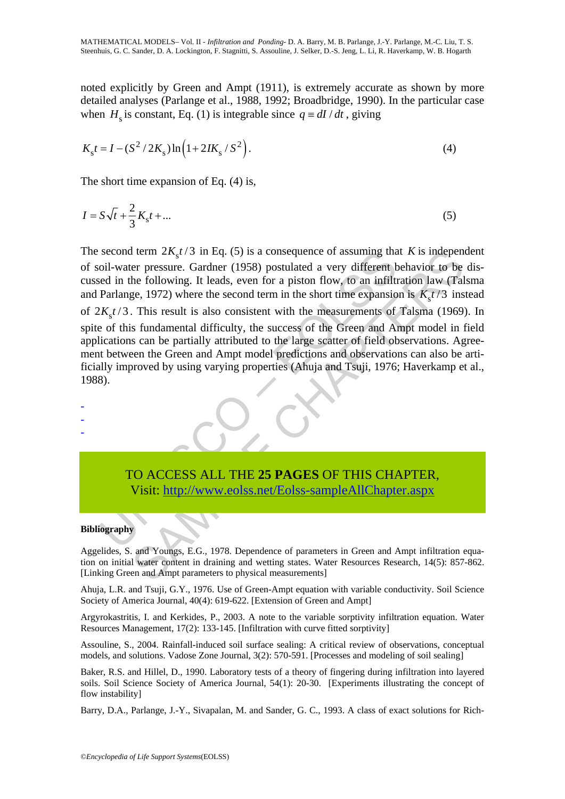noted explicitly by Green and Ampt (1911), is extremely accurate as shown by more detailed analyses (Parlange et al., 1988, 1992; Broadbridge, 1990). In the particular case when  $H<sub>s</sub>$  is constant, Eq. (1) is integrable since  $q \equiv dI/dt$ , giving

$$
K_{\rm s}t = I - (S^2 / 2K_{\rm s})\ln\left(1 + 2IK_{\rm s}/S^2\right).
$$
 (4)

The short time expansion of Eq. (4) is,

$$
I = S\sqrt{t} + \frac{2}{3}K_{\rm s}t + \dots
$$
 (5)

second term  $2K_s t/3$  in Eq. (5) is a consequence of assuming that<br>oil-water pressure. Gardner (1958) postulated a very different b<br>ed in the following. It leads, even for a piston flow, to an infiltu<br>Parlange, 1972) where I term  $2K_s t/3$  in Eq. (5) is a consequence of assuming that K is indepent<br>er pressure. Gardner (1958) postulated a very different behavior to be<br>the following. It leads, even for a piston flow, to an infiltration law (Ta The second term  $2K_s t/3$  in Eq. (5) is a consequence of assuming that *K* is independent of soil-water pressure. Gardner (1958) postulated a very different behavior to be discussed in the following. It leads, even for a piston flow, to an infiltration law (Talsma and Parlange, 1972) where the second term in the short time expansion is  $K<sub>z</sub>t/3$  instead of  $2K_s t/3$ . This result is also consistent with the measurements of Talsma (1969). In spite of this fundamental difficulty, the success of the Green and Ampt model in field applications can be partially attributed to the large scatter of field observations. Agreement between the Green and Ampt model predictions and observations can also be artificially improved by using varying properties (Ahuja and Tsuji, 1976; Haverkamp et al., 1988).



# TO ACCESS ALL THE **25 PAGES** OF THIS CHAPTER, Visit: http://www.eolss.net/Eolss-sampleAllChapter.aspx

#### **Bibliography**

-

Aggelides, S. and Youngs, E.G., 1978. Dependence of parameters in Green and Ampt infiltration equation on initial water content in draining and wetting states. Water Resources Research, 14(5): 857-862. [Linking Green and Ampt parameters to physical measurements]

Ahuja, L.R. and Tsuji, G.Y., 1976. Use of Green-Ampt equation with variable conductivity. Soil Science Society of America Journal, 40(4): 619-622. [Extension of Green and Ampt]

Argyrokastritis, I. and Kerkides, P., 2003. A note to the variable sorptivity infiltration equation. Water Resources Management, 17(2): 133-145. [Infiltration with curve fitted sorptivity]

Assouline, S., 2004. Rainfall-induced soil surface sealing: A critical review of observations, conceptual models, and solutions. Vadose Zone Journal, 3(2): 570-591. [Processes and modeling of soil sealing]

Baker, R.S. and Hillel, D., 1990. Laboratory tests of a theory of fingering during infiltration into layered soils. Soil Science Society of America Journal, 54(1): 20-30. [Experiments illustrating the concept of flow instability]

Barry, D.A., Parlange, J.-Y., Sivapalan, M. and Sander, G. C., 1993. A class of exact solutions for Rich-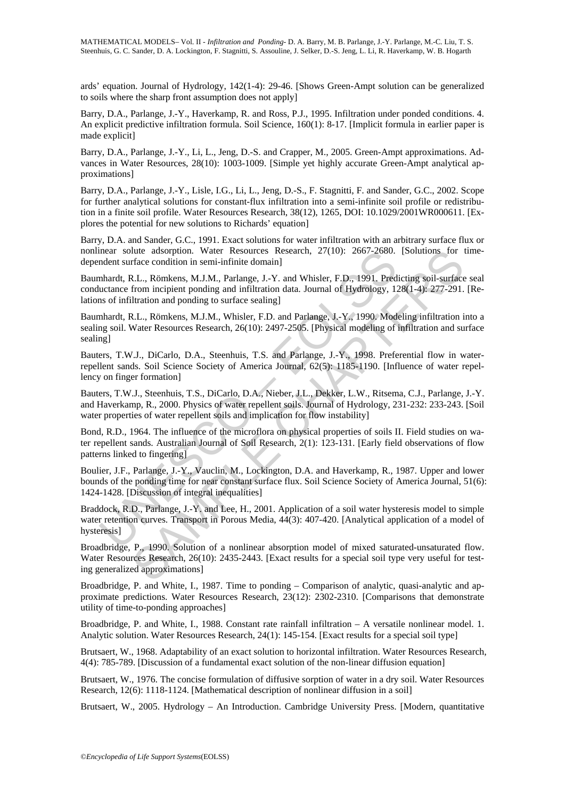ards' equation. Journal of Hydrology, 142(1-4): 29-46. [Shows Green-Ampt solution can be generalized to soils where the sharp front assumption does not apply]

Barry, D.A., Parlange, J.-Y., Haverkamp, R. and Ross, P.J., 1995. Infiltration under ponded conditions. 4. An explicit predictive infiltration formula. Soil Science, 160(1): 8-17. [Implicit formula in earlier paper is made explicit]

Barry, D.A., Parlange, J.-Y., Li, L., Jeng, D.-S. and Crapper, M., 2005. Green-Ampt approximations. Advances in Water Resources, 28(10): 1003-1009. [Simple yet highly accurate Green-Ampt analytical approximations]

Barry, D.A., Parlange, J.-Y., Lisle, I.G., Li, L., Jeng, D.-S., F. Stagnitti, F. and Sander, G.C., 2002. Scope for further analytical solutions for constant-flux infiltration into a semi-infinite soil profile or redistribution in a finite soil profile. Water Resources Research, 38(12), 1265, DOI: 10.1029/2001WR000611. [Explores the potential for new solutions to Richards' equation]

Barry, D.A. and Sander, G.C., 1991. Exact solutions for water infiltration with an arbitrary surface flux or nonlinear solute adsorption. Water Resources Research, 27(10): 2667-2680. [Solutions for timedependent surface condition in semi-infinite domain]

Baumhardt, R.L., Römkens, M.J.M., Parlange, J.-Y. and Whisler, F.D., 1991. Predicting soil-surface seal conductance from incipient ponding and infiltration data. Journal of Hydrology, 128(1-4): 277-291. [Relations of infiltration and ponding to surface sealing]

mears solute adsorption. Water Resources Research, 27(10): 2667-2680.<br>
Indent surface condition in semi-infinite domain]<br>
Inhardt, R.L., Römkens, M.J.M., Parlange, J.-Y. and Whisler, F.D., 1991. Preductance from incipient lute adsorption. Water Resources Research, 27(10): 2667-2680. [Solutions for the<br>direct condition in semi-infinite domain]<br>
R.L., Römkens, M.J.M., Parlange, J.-Y. and Whisler, F.D., 1991, Predicting soil-surface<br>
from inci Baumhardt, R.L., Römkens, M.J.M., Whisler, F.D. and Parlange, J.-Y., 1990. Modeling infiltration into a sealing soil. Water Resources Research, 26(10): 2497-2505. [Physical modeling of infiltration and surface sealing]

Bauters, T.W.J., DiCarlo, D.A., Steenhuis, T.S. and Parlange, J.-Y., 1998. Preferential flow in waterrepellent sands. Soil Science Society of America Journal, 62(5): 1185-1190. [Influence of water repellency on finger formation]

Bauters, T.W.J., Steenhuis, T.S., DiCarlo, D.A., Nieber, J.L., Dekker, L.W., Ritsema, C.J., Parlange, J.-Y. and Haverkamp, R., 2000. Physics of water repellent soils. Journal of Hydrology, 231-232: 233-243. [Soil water properties of water repellent soils and implication for flow instability

Bond, R.D., 1964. The influence of the microflora on physical properties of soils II. Field studies on water repellent sands. Australian Journal of Soil Research, 2(1): 123-131. [Early field observations of flow patterns linked to fingering]

Boulier, J.F., Parlange, J.-Y., Vauclin, M., Lockington, D.A. and Haverkamp, R., 1987. Upper and lower bounds of the ponding time for near constant surface flux. Soil Science Society of America Journal, 51(6): 1424-1428. [Discussion of integral inequalities]

Braddock, R.D., Parlange, J.-Y. and Lee, H., 2001. Application of a soil water hysteresis model to simple water retention curves. Transport in Porous Media, 44(3): 407-420. [Analytical application of a model of hysteresis]

Broadbridge, P., 1990. Solution of a nonlinear absorption model of mixed saturated-unsaturated flow. Water Resources Research, 26(10): 2435-2443. [Exact results for a special soil type very useful for testing generalized approximations]

Broadbridge, P. and White, I., 1987. Time to ponding – Comparison of analytic, quasi-analytic and approximate predictions. Water Resources Research, 23(12): 2302-2310. [Comparisons that demonstrate utility of time-to-ponding approaches]

Broadbridge, P. and White, I., 1988. Constant rate rainfall infiltration – A versatile nonlinear model. 1. Analytic solution. Water Resources Research, 24(1): 145-154. [Exact results for a special soil type]

Brutsaert, W., 1968. Adaptability of an exact solution to horizontal infiltration. Water Resources Research, 4(4): 785-789. [Discussion of a fundamental exact solution of the non-linear diffusion equation]

Brutsaert, W., 1976. The concise formulation of diffusive sorption of water in a dry soil. Water Resources Research, 12(6): 1118-1124. [Mathematical description of nonlinear diffusion in a soil]

Brutsaert, W., 2005. Hydrology – An Introduction. Cambridge University Press. [Modern, quantitative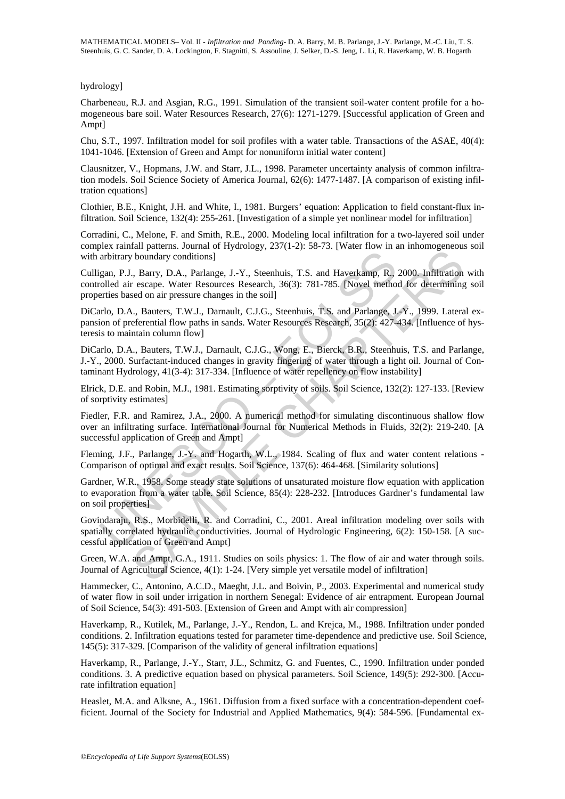#### hydrology]

Charbeneau, R.J. and Asgian, R.G., 1991. Simulation of the transient soil-water content profile for a homogeneous bare soil. Water Resources Research, 27(6): 1271-1279. [Successful application of Green and Ampt]

Chu, S.T., 1997. Infiltration model for soil profiles with a water table. Transactions of the ASAE, 40(4): 1041-1046. [Extension of Green and Ampt for nonuniform initial water content]

Clausnitzer, V., Hopmans, J.W. and Starr, J.L., 1998. Parameter uncertainty analysis of common infiltration models. Soil Science Society of America Journal, 62(6): 1477-1487. [A comparison of existing infiltration equations]

Clothier, B.E., Knight, J.H. and White, I., 1981. Burgers' equation: Application to field constant-flux infiltration. Soil Science, 132(4): 255-261. [Investigation of a simple yet nonlinear model for infiltration]

Corradini, C., Melone, F. and Smith, R.E., 2000. Modeling local infiltration for a two-layered soil under complex rainfall patterns. Journal of Hydrology, 237(1-2): 58-73. [Water flow in an inhomogeneous soil with arbitrary boundary conditions]

arbitrary boundary conditions]<br>gan, P.J., Barry, D.A., Parlange, J.-Y., Steenhuis, T.S. and Haverkamp, R.,<br>colled air escape. Water Resources Research, 36(3): 781-785. [Novel metho-<br>tries based on air pressure changes in t Later presents. The Hartam Private Room in an intermediate the method on in the boomdary conditions].<br>
Sharry, D.A., Parlange, J.-Y., Steenhuis, T.S. and Haverkamp, R., 2000. Infiltration escape. Water Resources Research, Culligan, P.J., Barry, D.A., Parlange, J.-Y., Steenhuis, T.S. and Haverkamp, R., 2000. Infiltration with controlled air escape. Water Resources Research, 36(3): 781-785. [Novel method for determining soil properties based on air pressure changes in the soil]

DiCarlo, D.A., Bauters, T.W.J., Darnault, C.J.G., Steenhuis, T.S. and Parlange, J.-Y., 1999. Lateral expansion of preferential flow paths in sands. Water Resources Research, 35(2): 427-434. [Influence of hysteresis to maintain column flow]

DiCarlo, D.A., Bauters, T.W.J., Darnault, C.J.G., Wong, E., Bierck, B.R., Steenhuis, T.S. and Parlange, J.-Y., 2000. Surfactant-induced changes in gravity fingering of water through a light oil. Journal of Contaminant Hydrology, 41(3-4): 317-334. [Influence of water repellency on flow instability]

Elrick, D.E. and Robin, M.J., 1981. Estimating sorptivity of soils. Soil Science, 132(2): 127-133. [Review of sorptivity estimates]

Fiedler, F.R. and Ramirez, J.A., 2000. A numerical method for simulating discontinuous shallow flow over an infiltrating surface. International Journal for Numerical Methods in Fluids, 32(2): 219-240. [A successful application of Green and Ampt]

Fleming, J.F., Parlange, J.-Y. and Hogarth, W.L., 1984. Scaling of flux and water content relations - Comparison of optimal and exact results. Soil Science, 137(6): 464-468. [Similarity solutions]

Gardner, W.R., 1958. Some steady state solutions of unsaturated moisture flow equation with application to evaporation from a water table. Soil Science, 85(4): 228-232. [Introduces Gardner's fundamental law on soil properties]

Govindaraju, R.S., Morbidelli, R. and Corradini, C., 2001. Areal infiltration modeling over soils with spatially correlated hydraulic conductivities. Journal of Hydrologic Engineering, 6(2): 150-158. [A successful application of Green and Ampt]

Green, W.A. and Ampt, G.A., 1911. Studies on soils physics: 1. The flow of air and water through soils. Journal of Agricultural Science, 4(1): 1-24. [Very simple yet versatile model of infiltration]

Hammecker, C., Antonino, A.C.D., Maeght, J.L. and Boivin, P., 2003. Experimental and numerical study of water flow in soil under irrigation in northern Senegal: Evidence of air entrapment. European Journal of Soil Science, 54(3): 491-503. [Extension of Green and Ampt with air compression]

Haverkamp, R., Kutilek, M., Parlange, J.-Y., Rendon, L. and Krejca, M., 1988. Infiltration under ponded conditions. 2. Infiltration equations tested for parameter time-dependence and predictive use. Soil Science, 145(5): 317-329. [Comparison of the validity of general infiltration equations]

Haverkamp, R., Parlange, J.-Y., Starr, J.L., Schmitz, G. and Fuentes, C., 1990. Infiltration under ponded conditions. 3. A predictive equation based on physical parameters. Soil Science, 149(5): 292-300. [Accurate infiltration equation]

Heaslet, M.A. and Alksne, A., 1961. Diffusion from a fixed surface with a concentration-dependent coefficient. Journal of the Society for Industrial and Applied Mathematics, 9(4): 584-596. [Fundamental ex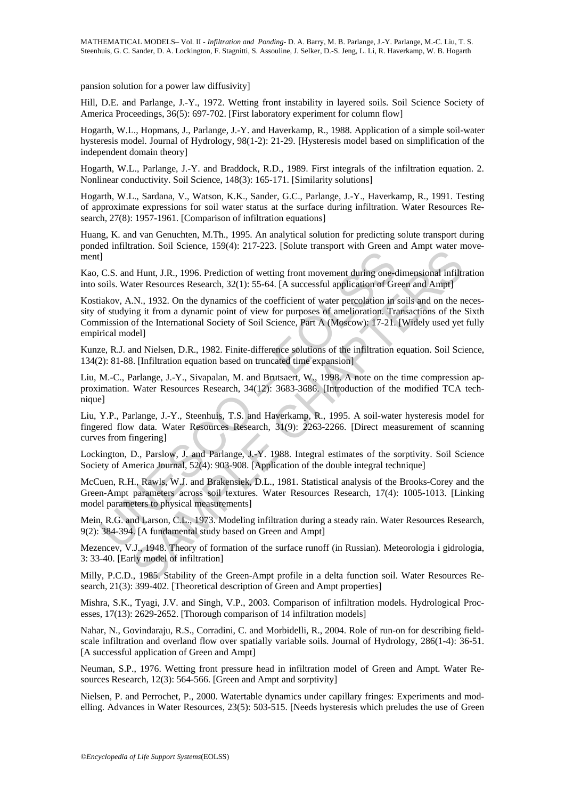pansion solution for a power law diffusivity]

Hill, D.E. and Parlange, J.-Y., 1972. Wetting front instability in layered soils. Soil Science Society of America Proceedings, 36(5): 697-702. [First laboratory experiment for column flow]

Hogarth, W.L., Hopmans, J., Parlange, J.-Y. and Haverkamp, R., 1988. Application of a simple soil-water hysteresis model. Journal of Hydrology, 98(1-2): 21-29. [Hysteresis model based on simplification of the independent domain theory]

Hogarth, W.L., Parlange, J.-Y. and Braddock, R.D., 1989. First integrals of the infiltration equation. 2. Nonlinear conductivity. Soil Science, 148(3): 165-171. [Similarity solutions]

Hogarth, W.L., Sardana, V., Watson, K.K., Sander, G.C., Parlange, J.-Y., Haverkamp, R., 1991. Testing of approximate expressions for soil water status at the surface during infiltration. Water Resources Research, 27(8): 1957-1961. [Comparison of infiltration equations]

Huang, K. and van Genuchten, M.Th., 1995. An analytical solution for predicting solute transport during ponded infiltration. Soil Science, 159(4): 217-223. [Solute transport with Green and Ampt water movement]

Kao, C.S. and Hunt, J.R., 1996. Prediction of wetting front movement during one-dimensional infiltration into soils. Water Resources Research, 32(1): 55-64. [A successful application of Green and Ampt]

1.<br>
C.S. and Hunt, J.R., 1996. Prediction of wetting front movement during one-<br>
soils. Water Resources Research, 32(1): 55-64. [A successful application of Gridakov, A.N., 1932. On the dynamics of the coefficient of water material button. IR. 1996. Prediction of wetting front movement during one-dimensional infiltrative Resources Research, 32(1): 55-64. [A successivel application of Green and Ample Inter Resources Research, 32(1): 55-64. [A Kostiakov, A.N., 1932. On the dynamics of the coefficient of water percolation in soils and on the necessity of studying it from a dynamic point of view for purposes of amelioration. Transactions of the Sixth Commission of the International Society of Soil Science, Part A (Moscow): 17-21. [Widely used yet fully empirical model]

Kunze, R.J. and Nielsen, D.R., 1982. Finite-difference solutions of the infiltration equation. Soil Science, 134(2): 81-88. [Infiltration equation based on truncated time expansion]

Liu, M.-C., Parlange, J.-Y., Sivapalan, M. and Brutsaert, W., 1998. A note on the time compression approximation. Water Resources Research, 34(12): 3683-3686. [Introduction of the modified TCA technique]

Liu, Y.P., Parlange, J.-Y., Steenhuis, T.S. and Haverkamp, R., 1995. A soil-water hysteresis model for fingered flow data. Water Resources Research, 31(9): 2263-2266. [Direct measurement of scanning curves from fingering]

Lockington, D., Parslow, J. and Parlange, J.-Y. 1988. Integral estimates of the sorptivity. Soil Science Society of America Journal, 52(4): 903-908. [Application of the double integral technique]

McCuen, R.H., Rawls, W.J. and Brakensiek, D.L., 1981. Statistical analysis of the Brooks-Corey and the Green-Ampt parameters across soil textures. Water Resources Research, 17(4): 1005-1013. [Linking model parameters to physical measurements]

Mein, R.G. and Larson, C.L., 1973. Modeling infiltration during a steady rain. Water Resources Research, 9(2): 384-394. [A fundamental study based on Green and Ampt]

Mezencev, V.J., 1948. Theory of formation of the surface runoff (in Russian). Meteorologia i gidrologia, 3: 33-40. [Early model of infiltration]

Milly, P.C.D., 1985. Stability of the Green-Ampt profile in a delta function soil. Water Resources Research, 21(3): 399-402. [Theoretical description of Green and Ampt properties]

Mishra, S.K., Tyagi, J.V. and Singh, V.P., 2003. Comparison of infiltration models. Hydrological Processes, 17(13): 2629-2652. [Thorough comparison of 14 infiltration models]

Nahar, N., Govindaraju, R.S., Corradini, C. and Morbidelli, R., 2004. Role of run-on for describing fieldscale infiltration and overland flow over spatially variable soils. Journal of Hydrology, 286(1-4): 36-51. [A successful application of Green and Ampt]

Neuman, S.P., 1976. Wetting front pressure head in infiltration model of Green and Ampt. Water Resources Research, 12(3): 564-566. [Green and Ampt and sorptivity]

Nielsen, P. and Perrochet, P., 2000. Watertable dynamics under capillary fringes: Experiments and modelling. Advances in Water Resources, 23(5): 503-515. [Needs hysteresis which preludes the use of Green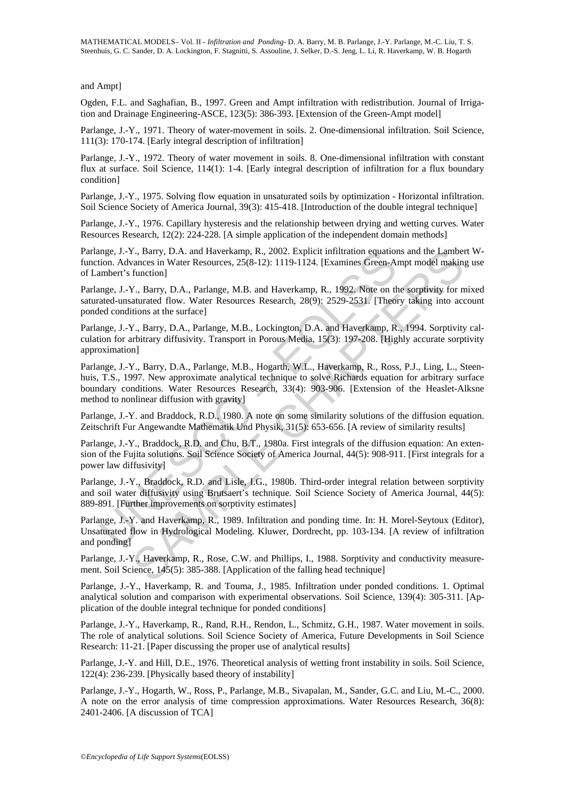and Ampt]

Ogden, F.L. and Saghafian, B., 1997. Green and Ampt infiltration with redistribution. Journal of Irrigation and Drainage Engineering-ASCE, 123(5): 386-393. [Extension of the Green-Ampt model]

Parlange, J.-Y., 1971. Theory of water-movement in soils. 2. One-dimensional infiltration. Soil Science, 111(3): 170-174. [Early integral description of infiltration]

Parlange, J.-Y., 1972. Theory of water movement in soils. 8. One-dimensional infiltration with constant flux at surface. Soil Science, 114(1): 1-4. [Early integral description of infiltration for a flux boundary condition]

Parlange, J.-Y., 1975. Solving flow equation in unsaturated soils by optimization - Horizontal infiltration. Soil Science Society of America Journal, 39(3): 415-418. [Introduction of the double integral technique]

Parlange, J.-Y., 1976. Capillary hysteresis and the relationship between drying and wetting curves. Water Resources Research, 12(2): 224-228. [A simple application of the independent domain methods]

Parlange, J.-Y., Barry, D.A. and Haverkamp, R., 2002. Explicit infiltration equations and the Lambert Wfunction. Advances in Water Resources, 25(8-12): 1119-1124. [Examines Green-Ampt model making use of Lambert's function]

Parlange, J.-Y., Barry, D.A., Parlange, M.B. and Haverkamp, R., 1992. Note on the sorptivity for mixed saturated-unsaturated flow. Water Resources Research, 28(9): 2529-2531. [Theory taking into account ponded conditions at the surface]

Parlange, J.-Y., Barry, D.A., Parlange, M.B., Lockington, D.A. and Haverkamp, R., 1994. Sorptivity calculation for arbitrary diffusivity. Transport in Porous Media, 15(3): 197-208. [Highly accurate sorptivity approximation]

nge, J.-Y., Barry, D.A. and Haverkamp, R., 2002. Explicit infiltration equation<br>
ion. Advances in Water Resources, 25(8-12): 1119-1124. [Examines Green-Airmorent's function]<br>
umbert's function]<br>
umert's function]<br>
umert's V., Barry, D.A. and Haverkamp, R., 2002. Explicit infiltration equations and the Lamber<br>vances in Water Resources, 25(8-12): 1119-1124. [Examines Green-Ampt model makin, function]<br>T. S., Barry, D.A., Parlange, M.B. and Hav Parlange, J.-Y., Barry, D.A., Parlange, M.B., Hogarth, W.L., Haverkamp, R., Ross, P.J., Ling, L., Steenhuis, T.S., 1997. New approximate analytical technique to solve Richards equation for arbitrary surface boundary conditions. Water Resources Research, 33(4): 903-906. [Extension of the Heaslet-Alksne method to nonlinear diffusion with gravity]

Parlange, J.-Y. and Braddock, R.D., 1980. A note on some similarity solutions of the diffusion equation. Zeitschrift Fur Angewandte Mathematik Und Physik, 31(5): 653-656. [A review of similarity results]

Parlange, J.-Y., Braddock, R.D. and Chu, B.T., 1980a. First integrals of the diffusion equation: An extension of the Fujita solutions. Soil Science Society of America Journal, 44(5): 908-911. [First integrals for a power law diffusivity]

Parlange, J.-Y., Braddock, R.D. and Lisle, I.G., 1980b. Third-order integral relation between sorptivity and soil water diffusivity using Brutsaert's technique. Soil Science Society of America Journal, 44(5): 889-891. [Further improvements on sorptivity estimates]

Parlange, J.-Y. and Haverkamp, R., 1989. Infiltration and ponding time. In: H. Morel-Seytoux (Editor), Unsaturated flow in Hydrological Modeling. Kluwer, Dordrecht, pp. 103-134. [A review of infiltration and ponding]

Parlange, J.-Y., Haverkamp, R., Rose, C.W. and Phillips, I., 1988. Sorptivity and conductivity measurement. Soil Science, 145(5): 385-388. [Application of the falling head technique]

Parlange, J.-Y., Haverkamp, R. and Touma, J., 1985. Infiltration under ponded conditions. 1. Optimal analytical solution and comparison with experimental observations. Soil Science, 139(4): 305-311. [Application of the double integral technique for ponded conditions]

Parlange, J.-Y., Haverkamp, R., Rand, R.H., Rendon, L., Schmitz, G.H., 1987. Water movement in soils. The role of analytical solutions. Soil Science Society of America, Future Developments in Soil Science Research: 11-21. [Paper discussing the proper use of analytical results]

Parlange, J.-Y. and Hill, D.E., 1976. Theoretical analysis of wetting front instability in soils. Soil Science, 122(4): 236-239. [Physically based theory of instability]

Parlange, J.-Y., Hogarth, W., Ross, P., Parlange, M.B., Sivapalan, M., Sander, G.C. and Liu, M.-C., 2000. A note on the error analysis of time compression approximations. Water Resources Research, 36(8): 2401-2406. [A discussion of TCA]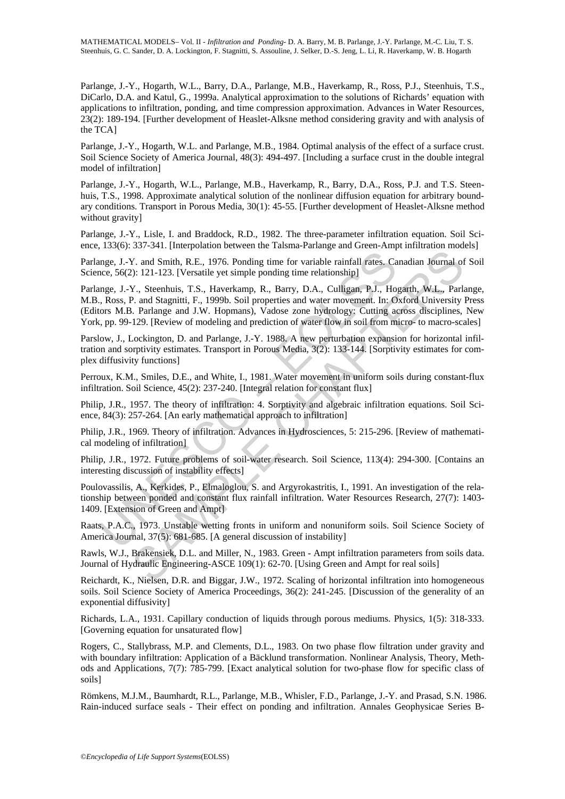Parlange, J.-Y., Hogarth, W.L., Barry, D.A., Parlange, M.B., Haverkamp, R., Ross, P.J., Steenhuis, T.S., DiCarlo, D.A. and Katul, G., 1999a. Analytical approximation to the solutions of Richards' equation with applications to infiltration, ponding, and time compression approximation. Advances in Water Resources, 23(2): 189-194. [Further development of Heaslet-Alksne method considering gravity and with analysis of the TCA]

Parlange, J.-Y., Hogarth, W.L. and Parlange, M.B., 1984. Optimal analysis of the effect of a surface crust. Soil Science Society of America Journal, 48(3): 494-497. [Including a surface crust in the double integral model of infiltration]

Parlange, J.-Y., Hogarth, W.L., Parlange, M.B., Haverkamp, R., Barry, D.A., Ross, P.J. and T.S. Steenhuis, T.S., 1998. Approximate analytical solution of the nonlinear diffusion equation for arbitrary boundary conditions. Transport in Porous Media, 30(1): 45-55. [Further development of Heaslet-Alksne method without gravity]

Parlange, J.-Y., Lisle, I. and Braddock, R.D., 1982. The three-parameter infiltration equation. Soil Science, 133(6): 337-341. [Interpolation between the Talsma-Parlange and Green-Ampt infiltration models]

Parlange, J.-Y. and Smith, R.E., 1976. Ponding time for variable rainfall rates. Canadian Journal of Soil Science, 56(2): 121-123. [Versatile yet simple ponding time relationship]

mge, J.-Y. and Smith, R.E., 1976. Ponding time for variable rainfall rates. Cacce, 56(2): 121-123. [Versatile yet simple ponding time relationship]<br>mge, J.-Y., Steenhuis, T.S., Haverkamp, R., Barry, D.A., Culligan, P.J., H Y. and Smith, R.E., 1976. Ponding time for variable rainfall rates. Canadian Journal of<br>
2): 121-123. [Versatile yet simple ponding time for variable rainfall rates. Canadian Journal of<br>
2): 121-123. [Versatile yet simple Parlange, J.-Y., Steenhuis, T.S., Haverkamp, R., Barry, D.A., Culligan, P.J., Hogarth, W.L., Parlange, M.B., Ross, P. and Stagnitti, F., 1999b. Soil properties and water movement. In: Oxford University Press (Editors M.B. Parlange and J.W. Hopmans), Vadose zone hydrology: Cutting across disciplines, New York, pp. 99-129. [Review of modeling and prediction of water flow in soil from micro- to macro-scales]

Parslow, J., Lockington, D. and Parlange, J.-Y. 1988. A new perturbation expansion for horizontal infiltration and sorptivity estimates. Transport in Porous Media, 3(2): 133-144. [Sorptivity estimates for complex diffusivity functions]

Perroux, K.M., Smiles, D.E., and White, I., 1981. Water movement in uniform soils during constant-flux infiltration. Soil Science, 45(2): 237-240. [Integral relation for constant flux]

Philip, J.R., 1957. The theory of infiltration: 4. Sorptivity and algebraic infiltration equations. Soil Science, 84(3): 257-264. [An early mathematical approach to infiltration]

Philip, J.R., 1969. Theory of infiltration. Advances in Hydrosciences, 5: 215-296. [Review of mathematical modeling of infiltration]

Philip, J.R., 1972. Future problems of soil-water research. Soil Science, 113(4): 294-300. [Contains an interesting discussion of instability effects]

Poulovassilis, A., Kerkides, P., Elmaloglou, S. and Argyrokastritis, I., 1991. An investigation of the relationship between ponded and constant flux rainfall infiltration. Water Resources Research, 27(7): 1403- 1409. [Extension of Green and Ampt]

Raats, P.A.C., 1973. Unstable wetting fronts in uniform and nonuniform soils. Soil Science Society of America Journal, 37(5): 681-685. [A general discussion of instability]

Rawls, W.J., Brakensiek, D.L. and Miller, N., 1983. Green - Ampt infiltration parameters from soils data. Journal of Hydraulic Engineering-ASCE 109(1): 62-70. [Using Green and Ampt for real soils]

Reichardt, K., Nielsen, D.R. and Biggar, J.W., 1972. Scaling of horizontal infiltration into homogeneous soils. Soil Science Society of America Proceedings, 36(2): 241-245. [Discussion of the generality of an exponential diffusivity]

Richards, L.A., 1931. Capillary conduction of liquids through porous mediums. Physics, 1(5): 318-333. [Governing equation for unsaturated flow]

Rogers, C., Stallybrass, M.P. and Clements, D.L., 1983. On two phase flow filtration under gravity and with boundary infiltration: Application of a Bäcklund transformation. Nonlinear Analysis, Theory, Methods and Applications, 7(7): 785-799. [Exact analytical solution for two-phase flow for specific class of soils]

Römkens, M.J.M., Baumhardt, R.L., Parlange, M.B., Whisler, F.D., Parlange, J.-Y. and Prasad, S.N. 1986. Rain-induced surface seals - Their effect on ponding and infiltration. Annales Geophysicae Series B-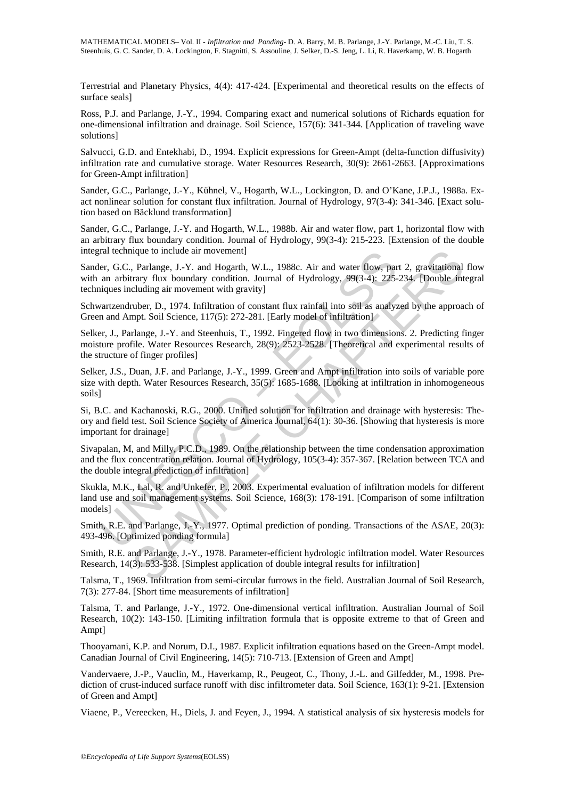Terrestrial and Planetary Physics, 4(4): 417-424. [Experimental and theoretical results on the effects of surface seals]

Ross, P.J. and Parlange, J.-Y., 1994. Comparing exact and numerical solutions of Richards equation for one-dimensional infiltration and drainage. Soil Science, 157(6): 341-344. [Application of traveling wave solutions]

Salvucci, G.D. and Entekhabi, D., 1994. Explicit expressions for Green-Ampt (delta-function diffusivity) infiltration rate and cumulative storage. Water Resources Research, 30(9): 2661-2663. [Approximations for Green-Ampt infiltration]

Sander, G.C., Parlange, J.-Y., Kühnel, V., Hogarth, W.L., Lockington, D. and O'Kane, J.P.J., 1988a. Exact nonlinear solution for constant flux infiltration. Journal of Hydrology, 97(3-4): 341-346. [Exact solution based on Bäcklund transformation]

Sander, G.C., Parlange, J.-Y. and Hogarth, W.L., 1988b. Air and water flow, part 1, horizontal flow with an arbitrary flux boundary condition. Journal of Hydrology, 99(3-4): 215-223. [Extension of the double integral technique to include air movement]

Sander, G.C., Parlange, J.-Y. and Hogarth, W.L., 1988c. Air and water flow, part 2, gravitational flow with an arbitrary flux boundary condition. Journal of Hydrology, 99(3-4): 225-234. [Double integral techniques including air movement with gravity]

Schwartzendruber, D., 1974. Infiltration of constant flux rainfall into soil as analyzed by the approach of Green and Ampt. Soil Science, 117(5): 272-281. [Early model of infiltration]

Selker, J., Parlange, J.-Y. and Steenhuis, T., 1992. Fingered flow in two dimensions. 2. Predicting finger moisture profile. Water Resources Research, 28(9): 2523-2528. [Theoretical and experimental results of the structure of finger profiles]

Selker, J.S., Duan, J.F. and Parlange, J.-Y., 1999. Green and Ampt infiltration into soils of variable pore size with depth. Water Resources Research, 35(5): 1685-1688. [Looking at infiltration in inhomogeneous soils]

Si, B.C. and Kachanoski, R.G., 2000. Unified solution for infiltration and drainage with hysteresis: Theory and field test. Soil Science Society of America Journal, 64(1): 30-36. [Showing that hysteresis is more important for drainage]

ral technique to include air movement]<br>er, G.C., Parlange, J.-Y. and Hogarth, W.L., 1988c. Air and water flow, paramier, G.C., Parlange, J.-Y. and Hogarth, W.L., 1988c. Air and water flow in a<br>an arbitrary flux boundary co leave to include air movement]<br>
persiage, J.-Y. and Hogarth, W.L., 1988c. Air and water flow, part 2, gravitational<br>
rary flux boundary condition. Jounnal of Hydrology, 99(3-4): 225-234. [Double int<br>
charg air movement wit Sivapalan, M, and Milly, P.C.D., 1989. On the relationship between the time condensation approximation and the flux concentration relation. Journal of Hydrology, 105(3-4): 357-367. [Relation between TCA and the double integral prediction of infiltration]

Skukla, M.K., Lal, R. and Unkefer, P., 2003. Experimental evaluation of infiltration models for different land use and soil management systems. Soil Science, 168(3): 178-191. [Comparison of some infiltration models]

Smith, R.E. and Parlange, J.-Y., 1977. Optimal prediction of ponding. Transactions of the ASAE, 20(3): 493-496. [Optimized ponding formula]

Smith, R.E. and Parlange, J.-Y., 1978. Parameter-efficient hydrologic infiltration model. Water Resources Research, 14(3): 533-538. [Simplest application of double integral results for infiltration]

Talsma, T., 1969. Infiltration from semi-circular furrows in the field. Australian Journal of Soil Research, 7(3): 277-84. [Short time measurements of infiltration]

Talsma, T. and Parlange, J.-Y., 1972. One-dimensional vertical infiltration. Australian Journal of Soil Research, 10(2): 143-150. [Limiting infiltration formula that is opposite extreme to that of Green and Ampt]

Thooyamani, K.P. and Norum, D.I., 1987. Explicit infiltration equations based on the Green-Ampt model. Canadian Journal of Civil Engineering, 14(5): 710-713. [Extension of Green and Ampt]

Vandervaere, J.-P., Vauclin, M., Haverkamp, R., Peugeot, C., Thony, J.-L. and Gilfedder, M., 1998. Prediction of crust-induced surface runoff with disc infiltrometer data. Soil Science, 163(1): 9-21. [Extension of Green and Ampt]

Viaene, P., Vereecken, H., Diels, J. and Feyen, J., 1994. A statistical analysis of six hysteresis models for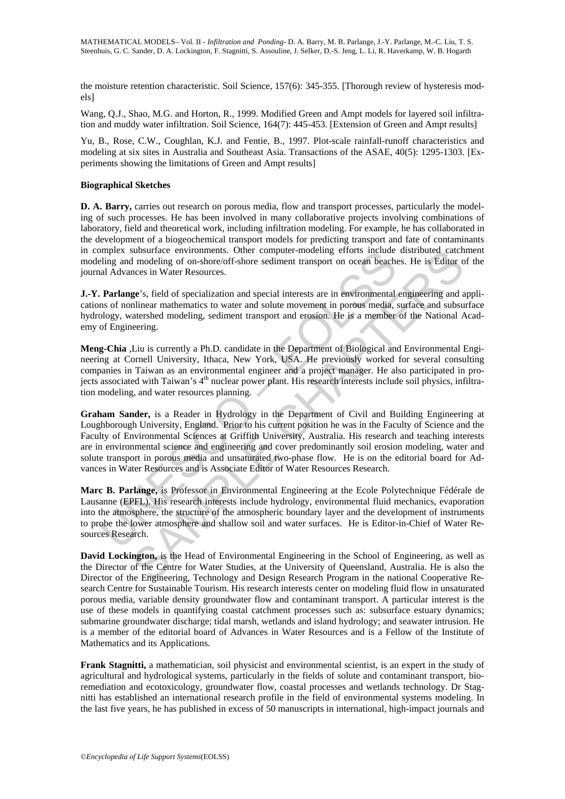the moisture retention characteristic. Soil Science, 157(6): 345-355. [Thorough review of hysteresis models]

Wang, Q.J., Shao, M.G. and Horton, R., 1999. Modified Green and Ampt models for layered soil infiltration and muddy water infiltration. Soil Science, 164(7): 445-453. [Extension of Green and Ampt results]

Yu, B., Rose, C.W., Coughlan, K.J. and Fentie, B., 1997. Plot-scale rainfall-runoff characteristics and modeling at six sites in Australia and Southeast Asia. Transactions of the ASAE, 40(5): 1295-1303. [Experiments showing the limitations of Green and Ampt results]

#### **Biographical Sketches**

**D. A. Barry,** carries out research on porous media, flow and transport processes, particularly the modeling of such processes. He has been involved in many collaborative projects involving combinations of laboratory, field and theoretical work, including infiltration modeling. For example, he has collaborated in the development of a biogeochemical transport models for predicting transport and fate of contaminants in complex subsurface environments. Other computer-modeling efforts include distributed catchment modeling and modeling of on-shore/off-shore sediment transport on ocean beaches. He is Editor of the journal Advances in Water Resources.

**J.-Y. Parlange**'s, field of specialization and special interests are in environmental engineering and applications of nonlinear mathematics to water and solute movement in porous media, surface and subsurface hydrology, watershed modeling, sediment transport and erosion. He is a member of the National Academy of Engineering.

**Meng-Chia** ,Liu is currently a Ph.D. candidate in the Department of Biological and Environmental Engineering at Cornell University, Ithaca, New York, USA. He previously worked for several consulting companies in Taiwan as an environmental engineer and a project manager. He also participated in projects associated with Taiwan's 4<sup>th</sup> nuclear power plant. His research interests include soil physics, infiltration modeling, and water resources planning.

mplex subsurrate environments. Other computer-modeling eitoris include<br>eling and modeling of on-shore/off-shore sediment transport on ocean beach<br>all Advances in Water Resources.<br>
Nearly applement transport on ocean beach<br> substurline environments. Other computer-modeling efforts include distributed catch<br>and modeling of on-shore/off-shore sediment transport on ocean beaches. He is Editor or<br>nes in Water Resources.<br> **ge's**, field of speciali **Graham Sander,** is a Reader in Hydrology in the Department of Civil and Building Engineering at Loughborough University, England. Prior to his current position he was in the Faculty of Science and the Faculty of Environmental Sciences at Griffith University, Australia. His research and teaching interests are in environmental science and engineering and cover predominantly soil erosion modeling, water and solute transport in porous media and unsaturated two-phase flow. He is on the editorial board for Advances in Water Resources and is Associate Editor of Water Resources Research.

**Marc B. Parlange,** is Professor in Environmental Engineering at the Ecole Polytechnique Fédérale de Lausanne (EPFL). His research interests include hydrology, environmental fluid mechanics, evaporation into the atmosphere, the structure of the atmospheric boundary layer and the development of instruments to probe the lower atmosphere and shallow soil and water surfaces. He is Editor-in-Chief of Water Resources Research.

**David Lockington,** is the Head of Environmental Engineering in the School of Engineering, as well as the Director of the Centre for Water Studies, at the University of Queensland, Australia. He is also the Director of the Engineering, Technology and Design Research Program in the national Cooperative Research Centre for Sustainable Tourism. His research interests center on modeling fluid flow in unsaturated porous media, variable density groundwater flow and contaminant transport. A particular interest is the use of these models in quantifying coastal catchment processes such as: subsurface estuary dynamics; submarine groundwater discharge; tidal marsh, wetlands and island hydrology; and seawater intrusion. He is a member of the editorial board of Advances in Water Resources and is a Fellow of the Institute of Mathematics and its Applications.

**Frank Stagnitti,** a mathematician, soil physicist and environmental scientist, is an expert in the study of agricultural and hydrological systems, particularly in the fields of solute and contaminant transport, bioremediation and ecotoxicology, groundwater flow, coastal processes and wetlands technology. Dr Stagnitti has established an international research profile in the field of environmental systems modeling. In the last five years, he has published in excess of 50 manuscripts in international, high-impact journals and